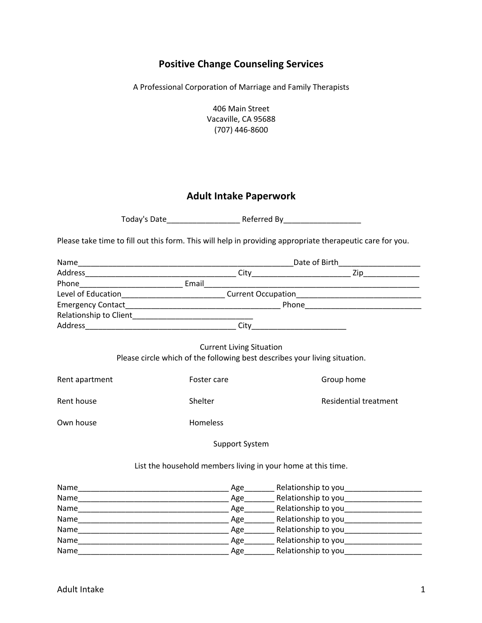## **Positive Change Counseling Services**

A Professional Corporation of Marriage and Family Therapists

406 Main Street Vacaville, CA 95688 (707) 446-8600

## **Adult Intake Paperwork**

| Today's Date | Referred By |
|--------------|-------------|
|              |             |

Please take time to fill out this form. This will help in providing appropriate therapeutic care for you.

|                                                                                                               |             | Level of Education_____________________________Current Occupation__________________________________ |  |  |
|---------------------------------------------------------------------------------------------------------------|-------------|-----------------------------------------------------------------------------------------------------|--|--|
|                                                                                                               |             |                                                                                                     |  |  |
|                                                                                                               |             |                                                                                                     |  |  |
|                                                                                                               |             |                                                                                                     |  |  |
| <b>Current Living Situation</b><br>Please circle which of the following best describes your living situation. |             |                                                                                                     |  |  |
| Rent apartment                                                                                                | Foster care | Group home                                                                                          |  |  |
| Rent house                                                                                                    | Shelter     | <b>Residential treatment</b>                                                                        |  |  |
| Own house                                                                                                     | Homeless    |                                                                                                     |  |  |
| <b>Support System</b>                                                                                         |             |                                                                                                     |  |  |
| List the household members living in your home at this time.                                                  |             |                                                                                                     |  |  |
|                                                                                                               |             |                                                                                                     |  |  |
|                                                                                                               |             |                                                                                                     |  |  |
|                                                                                                               |             |                                                                                                     |  |  |
|                                                                                                               |             |                                                                                                     |  |  |
|                                                                                                               |             |                                                                                                     |  |  |

Name\_\_\_\_\_\_\_\_\_\_\_\_\_\_\_\_\_\_\_\_\_\_\_\_\_\_\_\_\_\_\_\_\_\_\_ Age\_\_\_\_\_\_\_ Relationship to you\_\_\_\_\_\_\_\_\_\_\_\_\_\_\_\_\_\_ Name\_\_\_\_\_\_\_\_\_\_\_\_\_\_\_\_\_\_\_\_\_\_\_\_\_\_\_\_\_\_\_\_\_\_\_ Age\_\_\_\_\_\_\_ Relationship to you\_\_\_\_\_\_\_\_\_\_\_\_\_\_\_\_\_\_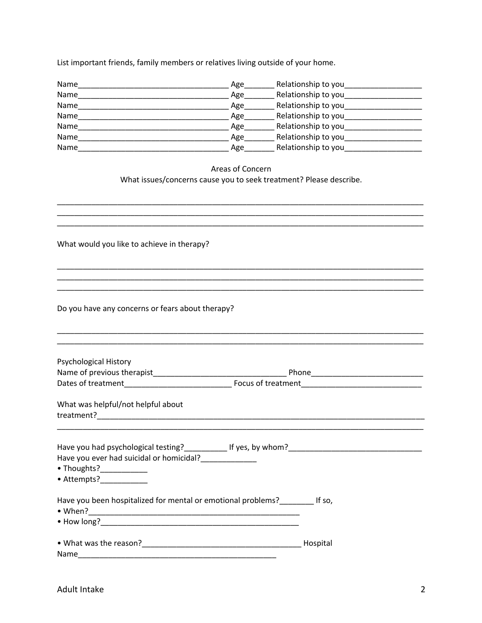List important friends, family members or relatives living outside of your home.

| Name | Age | Relationship to you |
|------|-----|---------------------|
| Name | Age | Relationship to you |
| Name | Age | Relationship to you |
| Name | Age | Relationship to you |
| Name | Age | Relationship to you |
| Name | Age | Relationship to you |
| Name | Age | Relationship to you |

Areas of Concern What issues/concerns cause you to seek treatment? Please describe.

What would you like to achieve in therapy?

Do you have any concerns or fears about therapy?

| Psychological History                                                                              |  |
|----------------------------------------------------------------------------------------------------|--|
|                                                                                                    |  |
|                                                                                                    |  |
| What was helpful/not helpful about                                                                 |  |
|                                                                                                    |  |
| Have you ever had suicidal or homicidal?<br>• Thoughts?____________<br>$\bullet$ Attempts?<br>$\_$ |  |
| Have you been hospitalized for mental or emotional problems? [150,                                 |  |
|                                                                                                    |  |
|                                                                                                    |  |
| Name                                                                                               |  |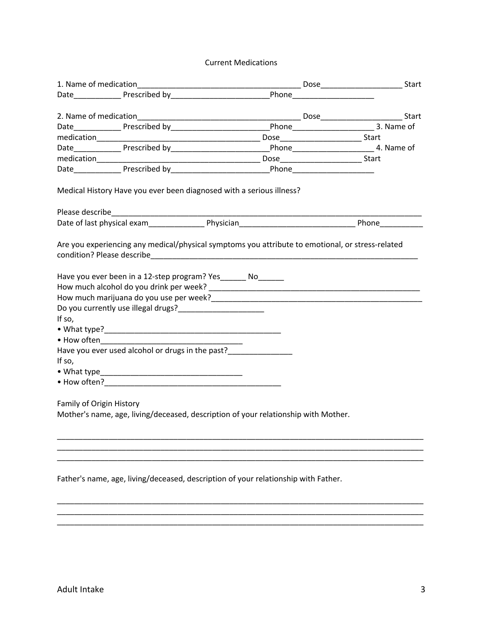## Current Medications

| 1. Name of medication    |                                                                                                                                                              |                                                                                                                      |  |
|--------------------------|--------------------------------------------------------------------------------------------------------------------------------------------------------------|----------------------------------------------------------------------------------------------------------------------|--|
|                          |                                                                                                                                                              | Date__________________Prescribed by__________________________________Phone__________________________                 |  |
|                          |                                                                                                                                                              |                                                                                                                      |  |
|                          |                                                                                                                                                              |                                                                                                                      |  |
|                          |                                                                                                                                                              | Date__________________Prescribed by__________________________________Phone____________________________3. Name of     |  |
|                          |                                                                                                                                                              |                                                                                                                      |  |
|                          |                                                                                                                                                              | Date____________________Prescribed by___________________________________Phone_____________________________4. Name of |  |
|                          |                                                                                                                                                              |                                                                                                                      |  |
|                          |                                                                                                                                                              |                                                                                                                      |  |
|                          | Medical History Have you ever been diagnosed with a serious illness?                                                                                         |                                                                                                                      |  |
|                          |                                                                                                                                                              |                                                                                                                      |  |
|                          |                                                                                                                                                              |                                                                                                                      |  |
|                          |                                                                                                                                                              | Are you experiencing any medical/physical symptoms you attribute to emotional, or stress-related                     |  |
|                          | Have you ever been in a 12-step program? Yes_______ No_______                                                                                                |                                                                                                                      |  |
| If so,                   | Do you currently use illegal drugs?<br><u> Letter Letter Letter Letter Letter Letter Letter Letter Letter Letter Letter Letter Letter Letter Letter Lett</u> |                                                                                                                      |  |
|                          |                                                                                                                                                              |                                                                                                                      |  |
|                          | $\bullet$ How often                                                                                                                                          |                                                                                                                      |  |
|                          | Have you ever used alcohol or drugs in the past?                                                                                                             |                                                                                                                      |  |
| If so,                   |                                                                                                                                                              |                                                                                                                      |  |
|                          |                                                                                                                                                              |                                                                                                                      |  |
|                          |                                                                                                                                                              |                                                                                                                      |  |
|                          |                                                                                                                                                              |                                                                                                                      |  |
| Family of Origin History |                                                                                                                                                              |                                                                                                                      |  |
|                          |                                                                                                                                                              | Mother's name, age, living/deceased, description of your relationship with Mother.                                   |  |
|                          |                                                                                                                                                              |                                                                                                                      |  |
|                          |                                                                                                                                                              |                                                                                                                      |  |
|                          |                                                                                                                                                              |                                                                                                                      |  |
|                          |                                                                                                                                                              |                                                                                                                      |  |

Father's name, age, living/deceased, description of your relationship with Father.

\_\_\_\_\_\_\_\_\_\_\_\_\_\_\_\_\_\_\_\_\_\_\_\_\_\_\_\_\_\_\_\_\_\_\_\_\_\_\_\_\_\_\_\_\_\_\_\_\_\_\_\_\_\_\_\_\_\_\_\_\_\_\_\_\_\_\_\_\_\_\_\_\_\_\_\_\_\_\_\_\_\_\_\_\_ \_\_\_\_\_\_\_\_\_\_\_\_\_\_\_\_\_\_\_\_\_\_\_\_\_\_\_\_\_\_\_\_\_\_\_\_\_\_\_\_\_\_\_\_\_\_\_\_\_\_\_\_\_\_\_\_\_\_\_\_\_\_\_\_\_\_\_\_\_\_\_\_\_\_\_\_\_\_\_\_\_\_\_\_\_

\_\_\_\_\_\_\_\_\_\_\_\_\_\_\_\_\_\_\_\_\_\_\_\_\_\_\_\_\_\_\_\_\_\_\_\_\_\_\_\_\_\_\_\_\_\_\_\_\_\_\_\_\_\_\_\_\_\_\_\_\_\_\_\_\_\_\_\_\_\_\_\_\_\_\_\_\_\_\_\_\_\_\_\_\_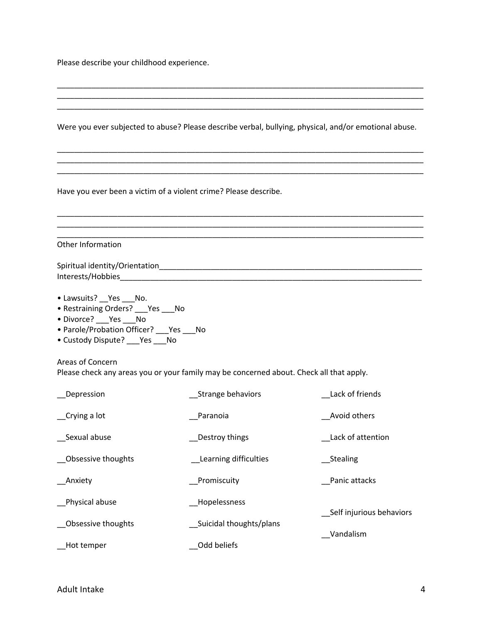Please describe your childhood experience.

| Were you ever subjected to abuse? Please describe verbal, bullying, physical, and/or emotional abuse.                                                                              |                                                        |                                       |  |
|------------------------------------------------------------------------------------------------------------------------------------------------------------------------------------|--------------------------------------------------------|---------------------------------------|--|
| Have you ever been a victim of a violent crime? Please describe.                                                                                                                   |                                                        |                                       |  |
| Other Information                                                                                                                                                                  |                                                        |                                       |  |
| • Lawsuits? __ Yes ___ No.<br>• Restraining Orders? ___ Yes ___ No<br>• Divorce? ___ Yes ___ No<br>• Parole/Probation Officer? ___ Yes ___ No<br>• Custody Dispute? ___ Yes ___ No |                                                        |                                       |  |
| Areas of Concern<br>Please check any areas you or your family may be concerned about. Check all that apply.                                                                        |                                                        |                                       |  |
| _Depression                                                                                                                                                                        | __Strange behaviors                                    | Lack of friends                       |  |
| Crying a lot                                                                                                                                                                       | Paranoia                                               | Avoid others                          |  |
| Sexual abuse                                                                                                                                                                       | Destroy things                                         | Lack of attention                     |  |
| Obsessive thoughts                                                                                                                                                                 | Learning difficulties                                  | _Stealing                             |  |
| <b>Anxiety</b>                                                                                                                                                                     | Promiscuity                                            | Panic attacks                         |  |
| Physical abuse<br>Obsessive thoughts<br>Hot temper                                                                                                                                 | Hopelessness<br>Suicidal thoughts/plans<br>Odd beliefs | Self injurious behaviors<br>Vandalism |  |
|                                                                                                                                                                                    |                                                        |                                       |  |